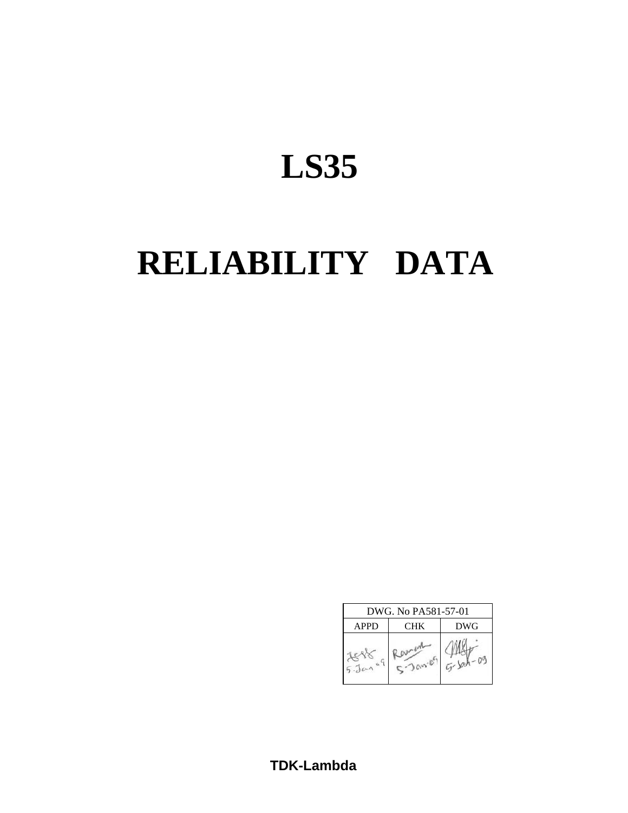# **LS35**

# **RELIABILITY DATA**

| DWG. No PA581-57-01 |            |  |  |  |  |  |  |  |
|---------------------|------------|--|--|--|--|--|--|--|
| <b>APPD</b>         | <b>DWG</b> |  |  |  |  |  |  |  |
|                     |            |  |  |  |  |  |  |  |

**TDK-Lambda**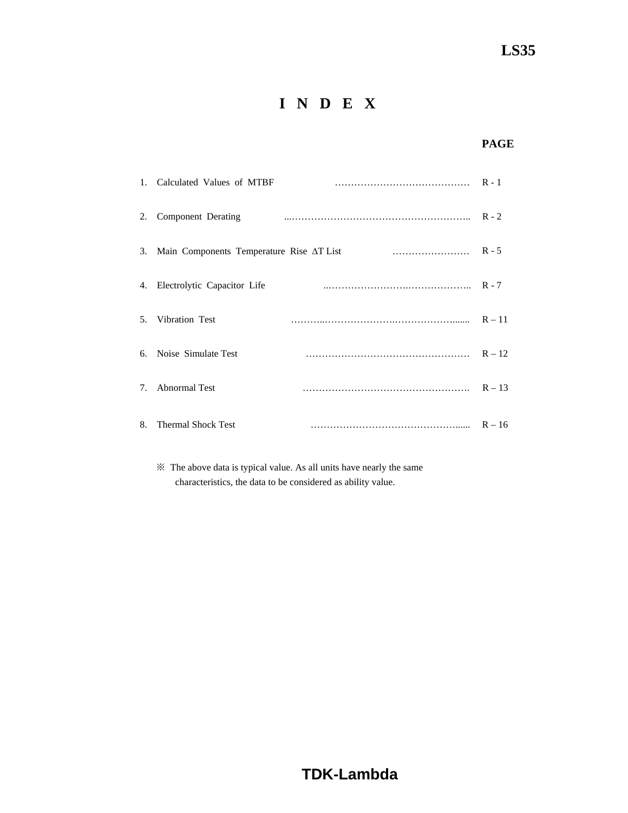# **I N D E X**

## **PAGE**

|                                  | 1. Calculated Values of MTBF             |          |
|----------------------------------|------------------------------------------|----------|
| 2.                               | Component Derating                       |          |
| 3.                               | Main Components Temperature Rise AT List |          |
|                                  | 4. Electrolytic Capacitor Life           |          |
|                                  | 5. Vibration Test                        | $R - 11$ |
|                                  | 6. Noise Simulate Test                   |          |
| $7_{\scriptscriptstyle{\ddots}}$ | <b>Abnormal Test</b>                     | $R - 13$ |
| 8.                               | <b>Thermal Shock Test</b>                | $R - 16$ |

 ※ The above data is typical value. As all units have nearly the same characteristics, the data to be considered as ability value.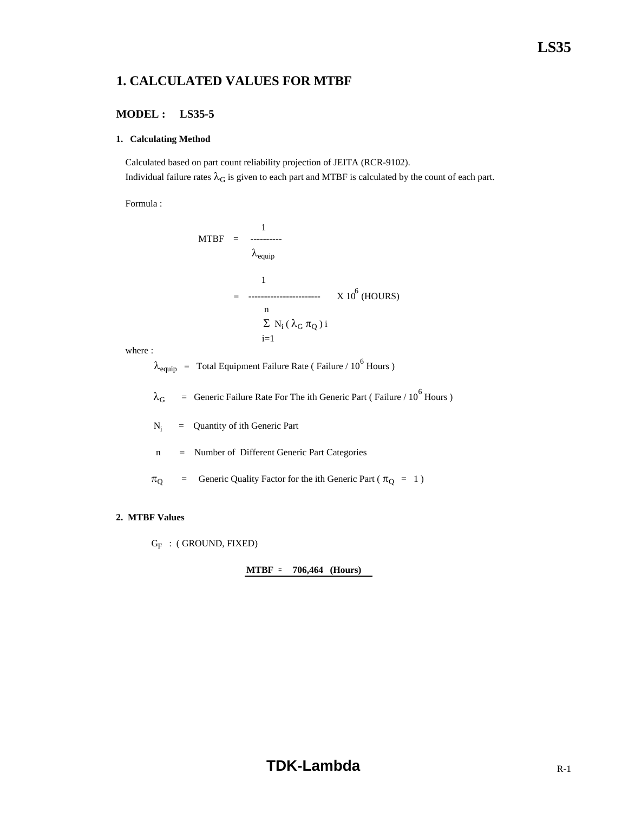## **1. CALCULATED VALUES FOR MTBF**

## **MODEL : LS35-5**

#### **1. Calculating Method**

 Calculated based on part count reliability projection of JEITA (RCR-9102). Individual failure rates  $\lambda_G$  is given to each part and MTBF is calculated by the count of each part.

Formula :

$$
MTBF = \frac{1}{\lambda_{\text{equip}}}
$$
  
= 
$$
\frac{1}{\lambda_{\text{equip}}}
$$
 X 10<sup>6</sup> (HOLRS)  

$$
\frac{n}{\sum N_i (\lambda_G \pi_Q) i}
$$

where :

 $\lambda_{\text{equip}}$  = Total Equipment Failure Rate (Failure / 10<sup>6</sup> Hours)

 $\lambda_G$  = Generic Failure Rate For The ith Generic Part (Failure / 10<sup>6</sup> Hours)

 $N_i$ = Quantity of ith Generic Part

n = Number of Different Generic Part Categories

 $\pi_{\text{Q}}$  = Generic Quality Factor for the ith Generic Part ( $\pi_{\text{Q}}$  = 1)

#### **2. MTBF Values**

 $G_F$  : (GROUND, FIXED)

**MTBF = 706,464 (Hours)**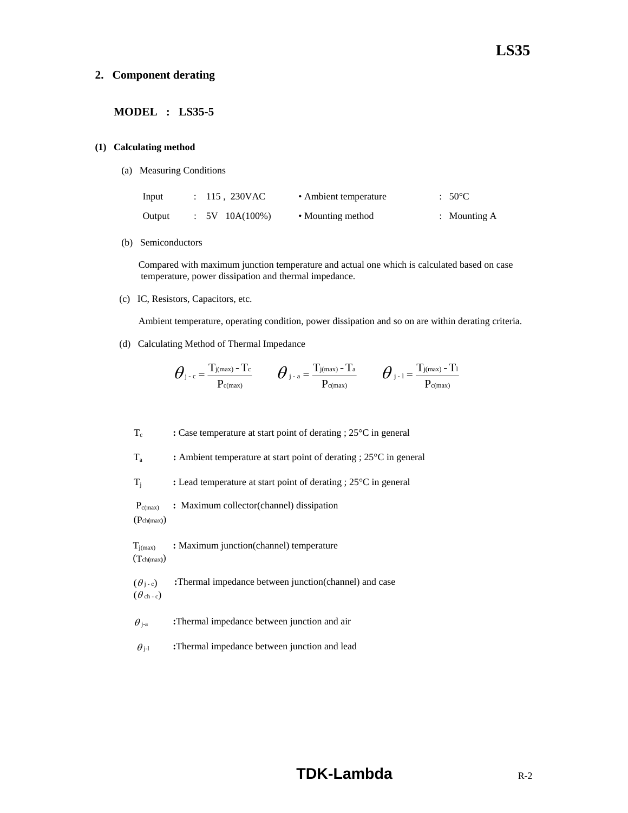#### **2. Component derating**

## **MODEL : LS35-5**

#### **(1) Calculating method**

(a) Measuring Conditions

| Input  | : 115, 230VAC  | • Ambient temperature | $:50^{\circ}$ C |
|--------|----------------|-----------------------|-----------------|
| Output | $5V$ 10A(100%) | • Mounting method     | : Mounting $A$  |

(b) Semiconductors

 Compared with maximum junction temperature and actual one which is calculated based on case temperature, power dissipation and thermal impedance.

(c) IC, Resistors, Capacitors, etc.

Ambient temperature, operating condition, power dissipation and so on are within derating criteria.

(d) Calculating Method of Thermal Impedance

$$
\bm{\theta}_{\text{j-c}}\!=\!\frac{T_{\text{j}(max)}-T_{\text{c}}}{P_{\text{c}(max)}}\qquad \bm{\theta}_{\text{j-a}}\!=\!\frac{T_{\text{j}(max)}-T_{\text{a}}}{P_{\text{c}(max)}}\qquad \bm{\theta}_{\text{j-1}}\!=\!\frac{T_{\text{j}(max)}-T_{\text{l}}}{P_{\text{c}(max)}}
$$

T<sub>c</sub> : Case temperature at start point of derating ; 25<sup>o</sup>C in general

Ta **:** Ambient temperature at start point of derating ; 25°C in general

Tj **:** Lead temperature at start point of derating ; 25°C in general

 Pc(max) **:** Maximum collector(channel) dissipation (Pch**(**max**)**)

Tj(max) **:** Maximum junction(channel) temperature (Tch**(**max**)**)

 $(\theta_{j-c})$  **:**Thermal impedance between junction(channel) and case  $(\theta$  ch - c)

 $\theta_{i-a}$  **:**Thermal impedance between junction and air

 $\theta_{i-1}$  **:**Thermal impedance between junction and lead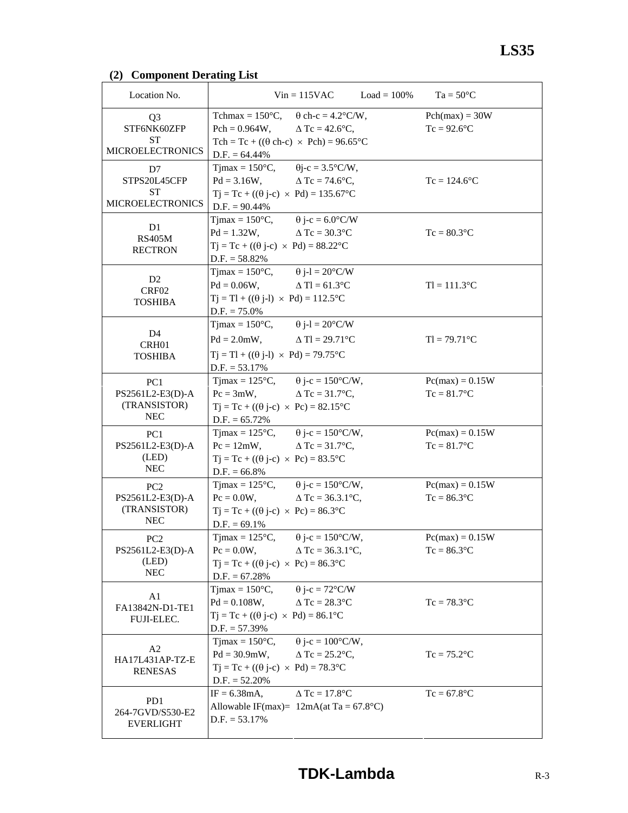## **(2) Component Derating List**

| Location No.                                                      |                                                                                                                                                                                                                | $Vin = 115VAC$ $Load = 100\%$                       | $Ta = 50^{\circ}C$                  |
|-------------------------------------------------------------------|----------------------------------------------------------------------------------------------------------------------------------------------------------------------------------------------------------------|-----------------------------------------------------|-------------------------------------|
| Q3<br>STF6NK60ZFP<br><b>ST</b><br><b>MICROELECTRONICS</b>         | Tchmax = $150^{\circ}$ C, $\theta$ ch-c = $4.2^{\circ}$ C/W,<br>Pch = $0.964W$ , $\Delta Tc = 42.6^{\circ}C$ ,<br>Tch = Tc + ( $(\theta$ ch-c) × Pch) = 96.65°C                                                |                                                     | $Pch(max) = 30W$<br>$Tc = 92.6$ °C  |
| D7<br>STPS20L45CFP<br><b>ST</b><br><b>MICROELECTRONICS</b>        | $D.F. = 64.44\%$<br>Tjmax = $150^{\circ}$ C, $\theta$ j-c = $3.5^{\circ}$ C/W,<br>$Pd = 3.16W$ , $\Delta Tc = 74.6^{\circ}C$ ,<br>$Tj = Tc + ((\theta j - c) \times Pd) = 135.67^{\circ}C$<br>$D.F. = 90.44\%$ |                                                     | $Tc = 124.6$ °C                     |
| D <sub>1</sub><br><b>RS405M</b><br><b>RECTRON</b>                 | Tjmax = $150^{\circ}$ C, $\theta$ j-c = $6.0^{\circ}$ C/W<br>$Pd = 1.32W,$ $\Delta Tc = 30.3^{\circ}C$<br>$Tj = Tc + ((\theta j - c) \times Pd) = 88.22^{\circ}C$<br>$D.F. = 58.82\%$                          |                                                     | $Tc = 80.3$ °C                      |
| D <sub>2</sub><br>CRF02<br><b>TOSHIBA</b>                         | Tjmax = $150^{\circ}$ C, $\theta$ j-l = $20^{\circ}$ C/W<br>$Pd = 0.06W$ , $\Delta Tl = 61.3^{\circ}C$<br>$Tj = Tl + ((\theta j-l) \times Pd) = 112.5$ °C<br>$D.F. = 75.0\%$                                   |                                                     | $TI = 111.3$ °C                     |
| D <sub>4</sub><br>CRH <sub>01</sub><br><b>TOSHIBA</b>             | Timax = $150^{\circ}$ C, $\theta$ j-l = $20^{\circ}$ C/W<br>$Pd = 2.0$ mW, $\Delta Tl = 29.71$ °C<br>$Tj = Tl + ((\theta j-l) \times Pd) = 79.75$ °C<br>$D.F. = 53.17\%$                                       |                                                     | $TI = 79.71^{\circ}C$               |
| PC1<br>PS2561L2-E3(D)-A<br>(TRANSISTOR)<br><b>NEC</b>             | Tjmax = $125^{\circ}$ C, $\theta$ j-c = $150^{\circ}$ C/W,<br>$Pc = 3mW,$<br>$Tj = Tc + ((\theta j - c) \times Pc) = 82.15^{\circ}C$<br>$D.F. = 65.72\%$                                                       | $\Delta$ Tc = 31.7°C,                               | $Pc(max) = 0.15W$<br>$Tc = 81.7$ °C |
| PC <sub>1</sub><br>PS2561L2-E3(D)-A<br>(LED)<br><b>NEC</b>        | Tjmax = $125^{\circ}$ C, $\theta$ j-c = $150^{\circ}$ C/W,<br>$Pc = 12mW$ , $\Delta Tc = 31.7^{\circ}C$ ,<br>$Tj = Tc + ((\theta j - c) \times Pc) = 83.5$ °C<br>$D.F. = 66.8\%$                               |                                                     | $Pc(max) = 0.15W$<br>$Tc = 81.7$ °C |
| PC <sub>2</sub><br>PS2561L2-E3(D)-A<br>(TRANSISTOR)<br><b>NEC</b> | Tjmax = $125^{\circ}$ C, $\theta$ j-c = $150^{\circ}$ C/W,<br>$Pc = 0.0W$ ,<br>$Tj = Tc + ((\theta j - c) \times Pc) = 86.3$ °C<br>$D.F. = 69.1\%$                                                             | $\Delta$ Tc = 36.3.1 °C,                            | $Pc(max) = 0.15W$<br>$Tc = 86.3$ °C |
| PC <sub>2</sub><br>PS2561L2-E3(D)-A<br>(LED)<br><b>NEC</b>        | $T$ jmax = 125 $\mathrm{^{\circ}C}$ ,<br>$Pc = 0.0W$ ,<br>$Tj = Tc + ((\theta j - c) \times Pc) = 86.3^{\circ}C$<br>$D.F. = 67.28%$                                                                            | $\theta$ j-c = 150°C/W,<br>$\Delta$ Tc = 36.3.1 °C, | $Pc(max) = 0.15W$<br>$Tc = 86.3$ °C |
| A <sub>1</sub><br>FA13842N-D1-TE1<br>FUJI-ELEC.                   | $Tjmax = 150^{\circ}C$ ,<br>$Pd = 0.108W,$<br>$Tj = Tc + ((\theta j-c) \times Pd) = 86.1^{\circ}C$<br>$D.F. = 57.39\%$                                                                                         | $\theta$ j-c = 72°C/W<br>$\Delta$ Tc = 28.3°C       | $Tc = 78.3$ °C                      |
| A2<br>HA17L431AP-TZ-E<br><b>RENESAS</b>                           | Tjmax = $150^{\circ}$ C,<br>$Pd = 30.9mW,$<br>$Tj = Tc + ((\theta j - c) \times Pd) = 78.3$ °C<br>$D.F. = 52.20\%$                                                                                             | $\theta$ j-c = 100°C/W,<br>$\Delta$ Tc = 25.2°C,    | $Tc = 75.2$ °C                      |
| P <sub>D</sub> 1<br>264-7GVD/S530-E2<br><b>EVERLIGHT</b>          | $IF = 6.38mA,$<br>Allowable IF(max)= $12mA(at Ta = 67.8°C)$<br>$D.F. = 53.17\%$                                                                                                                                | $\triangle$ Tc = 17.8°C                             | $Tc = 67.8$ °C                      |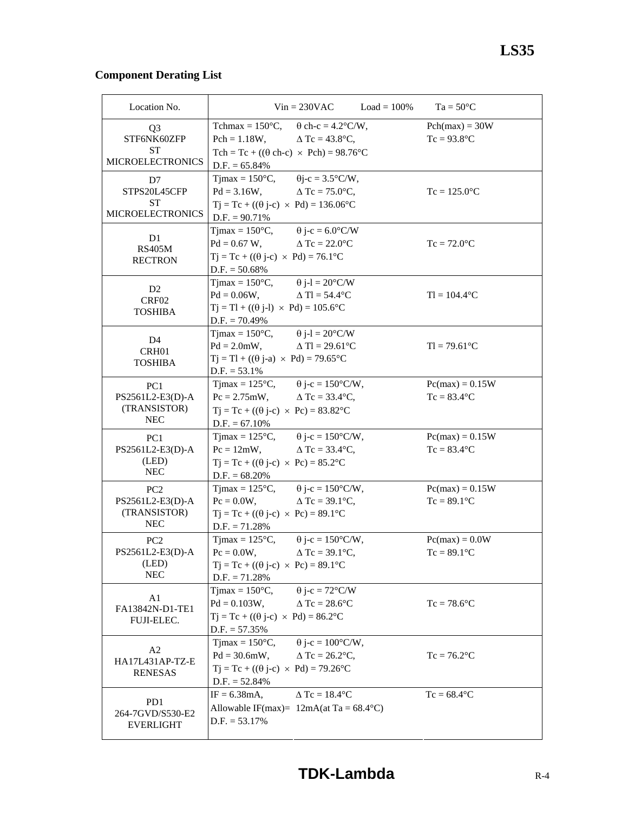## **Component Derating List**

| Location No.                        | $Vin = 230VAC$<br>$Load = 100\%$                                                                           | $Ta = 50^{\circ}C$                 |
|-------------------------------------|------------------------------------------------------------------------------------------------------------|------------------------------------|
| Q3                                  | Tchmax = $150^{\circ}$ C, $\theta$ ch-c = $4.2^{\circ}$ C/W,                                               | $Pch(max) = 30W$                   |
| STF6NK60ZFP<br>ST                   | $Pch = 1.18W,$<br>$\Delta$ Tc = 43.8°C,                                                                    | $Tc = 93.8$ °C                     |
| <b>MICROELECTRONICS</b>             | Tch = Tc + ( $(\theta$ ch-c) × Pch) = 98.76°C<br>$D.F. = 65.84\%$                                          |                                    |
| D7                                  | Tjmax = $150^{\circ}$ C, $\theta$ j-c = $3.5^{\circ}$ C/W,                                                 |                                    |
| STPS20L45CFP                        | $Pd = 3.16W,$<br>$\Delta$ Tc = 75.0°C,                                                                     | $Tc = 125.0$ °C                    |
| ST                                  | $Tj = Tc + ((\theta j - c) \times Pd) = 136.06^{\circ}C$                                                   |                                    |
| <b>MICROELECTRONICS</b>             | $D.F. = 90.71\%$                                                                                           |                                    |
|                                     | Tjmax = $150^{\circ}$ C, $\theta$ j-c = $6.0^{\circ}$ C/W                                                  |                                    |
| D <sub>1</sub><br><b>RS405M</b>     | $Pd = 0.67 W$ ,<br>$\triangle$ Tc = 22.0 $\degree$ C                                                       | $Tc = 72.0$ °C                     |
| <b>RECTRON</b>                      | $Tj = Tc + ((\theta j - c) \times Pd) = 76.1^{\circ}C$                                                     |                                    |
|                                     | $D.F. = 50.68\%$                                                                                           |                                    |
| D <sub>2</sub>                      | Tjmax = $150^{\circ}$ C, $\theta$ j-l = $20^{\circ}$ C/W                                                   |                                    |
| CRF02                               | $Pd = 0.06W,$<br>$\Delta$ Tl = 54.4 °C                                                                     | $TI = 104.4$ °C                    |
| <b>TOSHIBA</b>                      | $Tj = Tl + ((\theta j-l) \times Pd) = 105.6$ °C                                                            |                                    |
|                                     | $D.F. = 70.49\%$                                                                                           |                                    |
| D4                                  | Tjmax = $150^{\circ}$ C, $\theta$ j-l = $20^{\circ}$ C/W                                                   |                                    |
| CRH <sub>01</sub>                   | $Pd = 2.0mW,$<br>$\Delta$ Tl = 29.61°C                                                                     | $TI = 79.61^{\circ}C$              |
| <b>TOSHIBA</b>                      | $Tj = Tl + ((\theta j-a) \times Pd) = 79.65^{\circ}C$                                                      |                                    |
|                                     | $D.F. = 53.1\%$                                                                                            |                                    |
| PC1                                 | Tjmax = $125^{\circ}$ C, $\qquad \theta$ j-c = $150^{\circ}$ C/W,                                          | $Pc(max) = 0.15W$                  |
| PS2561L2-E3(D)-A                    | $Pc = 2.75 \text{mW}, \qquad \Delta Tc = 33.4 \text{°C},$                                                  | $Tc = 83.4$ °C                     |
| (TRANSISTOR)<br><b>NEC</b>          | $Tj = Tc + ((\theta j - c) \times Pc) = 83.82^{\circ}C$                                                    |                                    |
|                                     | $D.F. = 67.10\%$                                                                                           |                                    |
| PC <sub>1</sub>                     | Tjmax = $125^{\circ}$ C, $\theta$ j-c = $150^{\circ}$ C/W,                                                 | $Pc(max) = 0.15W$                  |
| PS2561L2-E3(D)-A                    | $Pc = 12mW$ ,<br>$\Delta$ Tc = 33.4°C,                                                                     | $Tc = 83.4$ °C                     |
| (LED)<br><b>NEC</b>                 | $Tj = Tc + ((\theta j - c) \times Pc) = 85.2$ °C                                                           |                                    |
|                                     | $D.F. = 68.20\%$                                                                                           |                                    |
| PC <sub>2</sub>                     | Tjmax = $125^{\circ}$ C, $\qquad \theta$ j-c = $150^{\circ}$ C/W,                                          | $Pc(max) = 0.15W$                  |
| PS2561L2-E3(D)-A                    | $Pc = 0.0W$ ,<br>$\Delta$ Tc = 39.1°C,                                                                     | $Tc = 89.1$ °C                     |
| (TRANSISTOR)<br><b>NEC</b>          | $Tj = Tc + ((\theta j - c) \times Pc) = 89.1^{\circ}C$                                                     |                                    |
|                                     | $D.F. = 71.28%$                                                                                            |                                    |
| PC <sub>2</sub><br>PS2561L2-E3(D)-A | $T$ jmax = 125 $\mathrm{^{\circ}C}$ ,<br>$\theta$ j-c = 150°C/W,<br>$Pc = 0.0W$ ,<br>$\Delta$ Tc = 39.1°C, | $Pc(max) = 0.0W$<br>$Tc = 89.1$ °C |
| (LED)                               | $Tj = Tc + ((\theta j - c) \times Pc) = 89.1^{\circ}C$                                                     |                                    |
| <b>NEC</b>                          | $D.F. = 71.28%$                                                                                            |                                    |
|                                     | $\theta$ j-c = 72°C/W<br>$T$ jmax = 150 $\degree$ C,                                                       |                                    |
| A1                                  | $Pd = 0.103W,$<br>$\Delta$ Tc = 28.6°C                                                                     | $Tc = 78.6$ °C                     |
| FA13842N-D1-TE1                     | $Tj = Tc + ((\theta j - c) \times Pd) = 86.2^{\circ}C$                                                     |                                    |
| FUJI-ELEC.                          | $D.F. = 57.35\%$                                                                                           |                                    |
|                                     | $\theta$ j-c = 100°C/W,<br>$T$ jmax = 150 $\degree$ C,                                                     |                                    |
| A2                                  | $Pd = 30.6mW,$<br>$\Delta$ Tc = 26.2°C,                                                                    | $Tc = 76.2$ °C                     |
| HA17L431AP-TZ-E                     | $Tj = Tc + ((\theta j - c) \times Pd) = 79.26$ °C                                                          |                                    |
| <b>RENESAS</b>                      | $D.F. = 52.84\%$                                                                                           |                                    |
|                                     | $\triangle$ Tc = 18.4°C<br>$IF = 6.38mA,$                                                                  | $Tc = 68.4$ °C                     |
| PD1                                 | Allowable IF(max)= $12mA(at Ta = 68.4°C)$                                                                  |                                    |
| 264-7GVD/S530-E2                    | $D.F. = 53.17%$                                                                                            |                                    |
| <b>EVERLIGHT</b>                    |                                                                                                            |                                    |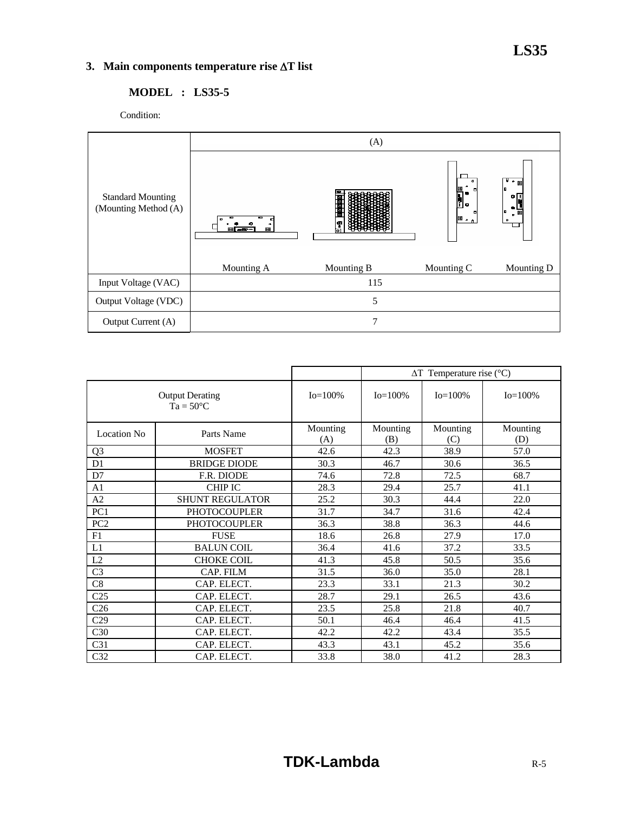## **3. Main components temperature rise** Δ**T list**

## **MODEL : LS35-5**

Condition:



|                                              |                        |                 |                 | $\Delta T$ Temperature rise (°C) |                 |  |
|----------------------------------------------|------------------------|-----------------|-----------------|----------------------------------|-----------------|--|
| <b>Output Derating</b><br>$Ta = 50^{\circ}C$ |                        | $Io = 100\%$    | $Io = 100\%$    | $Io = 100\%$                     | $Io = 100\%$    |  |
| <b>Location No</b>                           | Parts Name             | Mounting<br>(A) | Mounting<br>(B) | Mounting<br>(C)                  | Mounting<br>(D) |  |
| Q <sub>3</sub>                               | <b>MOSFET</b>          | 42.6            | 42.3            | 38.9                             | 57.0            |  |
| D <sub>1</sub>                               | <b>BRIDGE DIODE</b>    | 30.3            | 46.7            | 30.6                             | 36.5            |  |
| D7                                           | F.R. DIODE             | 74.6            | 72.8            | 72.5                             | 68.7            |  |
| A <sub>1</sub>                               | <b>CHIP IC</b>         | 28.3            | 29.4            | 25.7                             | 41.1            |  |
| A2                                           | <b>SHUNT REGULATOR</b> | 25.2            | 30.3            | 44.4                             | 22.0            |  |
| PC1                                          | <b>PHOTOCOUPLER</b>    | 31.7            | 34.7            | 31.6                             | 42.4            |  |
| PC <sub>2</sub>                              | <b>PHOTOCOUPLER</b>    | 36.3            | 38.8            | 36.3                             | 44.6            |  |
| F1                                           | <b>FUSE</b>            | 18.6            | 26.8            | 27.9                             | 17.0            |  |
| L1                                           | <b>BALUN COIL</b>      | 36.4            | 41.6            | 37.2                             | 33.5            |  |
| L2                                           | <b>CHOKE COIL</b>      | 41.3            | 45.8            | 50.5                             | 35.6            |  |
| C <sub>3</sub>                               | CAP. FILM              | 31.5            | 36.0            | 35.0                             | 28.1            |  |
| C8                                           | CAP. ELECT.            | 23.3            | 33.1            | 21.3                             | 30.2            |  |
| C <sub>25</sub>                              | CAP. ELECT.            | 28.7            | 29.1            | 26.5                             | 43.6            |  |
| C <sub>26</sub>                              | CAP. ELECT.            | 23.5            | 25.8            | 21.8                             | 40.7            |  |
| C29                                          | CAP. ELECT.            | 50.1            | 46.4            | 46.4                             | 41.5            |  |
| C30                                          | CAP. ELECT.            | 42.2            | 42.2            | 43.4                             | 35.5            |  |
| C31                                          | CAP. ELECT.            | 43.3            | 43.1            | 45.2                             | 35.6            |  |
| C32                                          | CAP. ELECT.            | 33.8            | 38.0            | 41.2                             | 28.3            |  |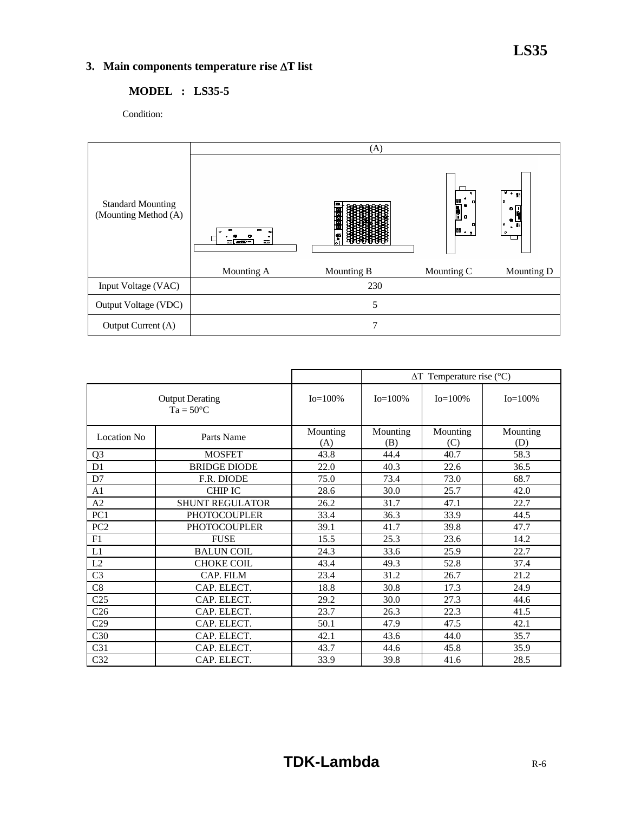## **3. Main components temperature rise** Δ**T list**

## **MODEL : LS35-5**

Condition:



|                                              |                        |                 |                 | $\Delta T$ Temperature rise (°C) |                 |  |  |
|----------------------------------------------|------------------------|-----------------|-----------------|----------------------------------|-----------------|--|--|
| <b>Output Derating</b><br>$Ta = 50^{\circ}C$ |                        | $Io = 100\%$    | $Io = 100\%$    | $Io = 100\%$                     | $Io = 100\%$    |  |  |
| <b>Location No</b>                           | Parts Name             | Mounting<br>(A) | Mounting<br>(B) | Mounting<br>(C)                  | Mounting<br>(D) |  |  |
| Q <sub>3</sub>                               | <b>MOSFET</b>          | 43.8            | 44.4            | 40.7                             | 58.3            |  |  |
| D <sub>1</sub>                               | <b>BRIDGE DIODE</b>    | 22.0            | 40.3            | 22.6                             | 36.5            |  |  |
| D7                                           | F.R. DIODE             | 75.0            | 73.4            | 73.0                             | 68.7            |  |  |
| A <sub>1</sub>                               | <b>CHIP IC</b>         | 28.6            | 30.0            | 25.7                             | 42.0            |  |  |
| A2                                           | <b>SHUNT REGULATOR</b> | 26.2            | 31.7            | 47.1                             | 22.7            |  |  |
| PC1                                          | <b>PHOTOCOUPLER</b>    | 33.4            | 36.3            | 33.9                             | 44.5            |  |  |
| PC <sub>2</sub>                              | <b>PHOTOCOUPLER</b>    | 39.1            | 41.7            | 39.8                             | 47.7            |  |  |
| F1                                           | <b>FUSE</b>            | 15.5            | 25.3            | 23.6                             | 14.2            |  |  |
| L1                                           | <b>BALUN COIL</b>      | 24.3            | 33.6            | 25.9                             | 22.7            |  |  |
| L2                                           | <b>CHOKE COIL</b>      | 43.4            | 49.3            | 52.8                             | 37.4            |  |  |
| C <sub>3</sub>                               | CAP. FILM              | 23.4            | 31.2            | 26.7                             | 21.2            |  |  |
| C8                                           | CAP. ELECT.            | 18.8            | 30.8            | 17.3                             | 24.9            |  |  |
| C <sub>25</sub>                              | CAP. ELECT.            | 29.2            | 30.0            | 27.3                             | 44.6            |  |  |
| C <sub>26</sub>                              | CAP. ELECT.            | 23.7            | 26.3            | 22.3                             | 41.5            |  |  |
| C29                                          | CAP. ELECT.            | 50.1            | 47.9            | 47.5                             | 42.1            |  |  |
| C30                                          | CAP. ELECT.            | 42.1            | 43.6            | 44.0                             | 35.7            |  |  |
| C <sub>31</sub>                              | CAP. ELECT.            | 43.7            | 44.6            | 45.8                             | 35.9            |  |  |
| C32                                          | CAP. ELECT.            | 33.9            | 39.8            | 41.6                             | 28.5            |  |  |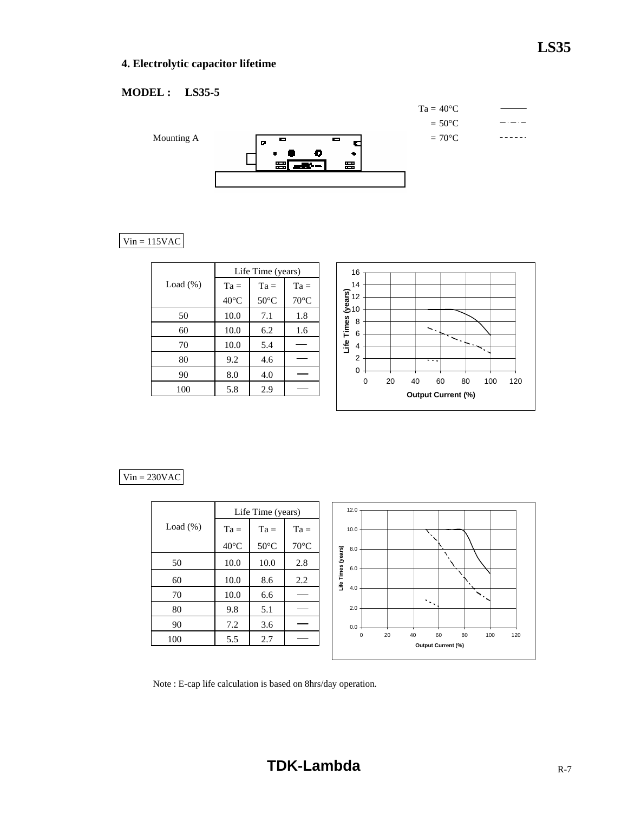## **LS35**

## **4. Electrolytic capacitor lifetime**

## **MODEL : LS35-5**



## $Vin = 115VAC$

|             |                | Life Time (years) |                |             |
|-------------|----------------|-------------------|----------------|-------------|
| Load $(\%)$ | $Ta =$         | $Ta =$            | $Ta =$         |             |
|             | $40^{\circ}$ C | $50^{\circ}$ C    | $70^{\circ}$ C |             |
| 50          | 10.0           | 7.1               | 1.8            |             |
| 60          | 10.0           | 6.2               | 1.6            |             |
| 70          | 10.0           | 5.4               |                | F<br>San Sa |
| 80          | 9.2            | 4.6               |                |             |
| 90          | 8.0            | 4.0               |                |             |
| 100         | 5.8            | 2.9               |                |             |



## $Vin = 230VAC$

|             |                | Life Time (years) |                | 12.0                                                          |
|-------------|----------------|-------------------|----------------|---------------------------------------------------------------|
| Load $(\%)$ | $Ta =$         | $Ta =$            | $Ta =$         | 10.0                                                          |
|             | $40^{\circ}$ C | $50^{\circ}$ C    | $70^{\circ}$ C | 8.0                                                           |
| 50          | 10.0           | 10.0              | 2.8            | Life Times (years)<br>6.0                                     |
| 60          | 10.0           | 8.6               | 2.2            |                                                               |
| 70          | 10.0           | 6.6               |                | 4.0<br>$\mathcal{S}_\infty$                                   |
| 80          | 9.8            | 5.1               |                | $\mathcal{O}(\mathcal{O}_\mathcal{A})$<br>2.0                 |
| 90          | 7.2            | 3.6               |                | $0.0 -$                                                       |
| 100         | 5.5            | 2.7               |                | 60<br>20<br>40<br>80<br>100<br>120<br>0<br>Output Current (%) |
|             |                |                   |                |                                                               |

Note : E-cap life calculation is based on 8hrs/day operation.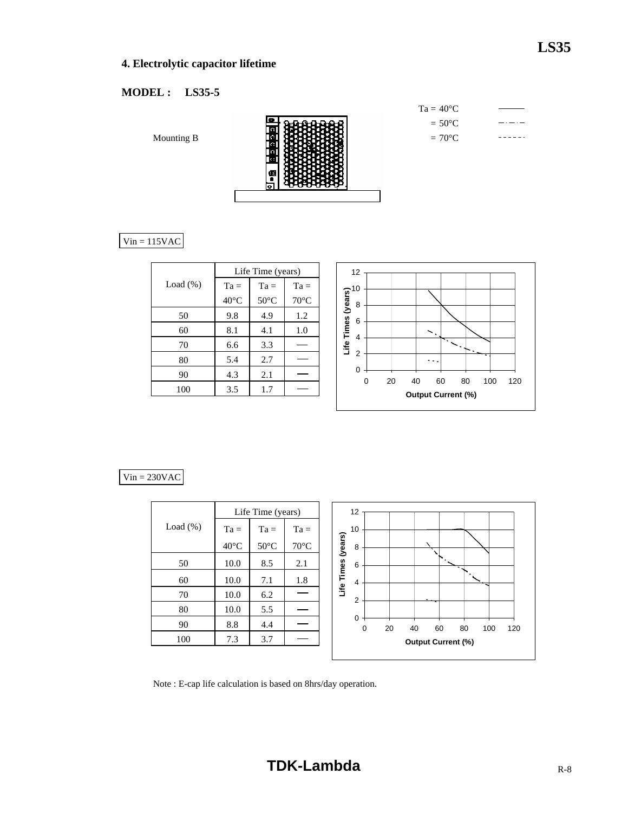## **4. Electrolytic capacitor lifetime**

## **MODEL : LS35-5**

Mounting B



 $Vin = 115VAC$ 

|             | Life Time (years) |                |                |  |  |  |
|-------------|-------------------|----------------|----------------|--|--|--|
| Load $(\%)$ | $Ta =$            | $Ta =$         | $Ta =$         |  |  |  |
|             | $40^{\circ}$ C    | $50^{\circ}$ C | $70^{\circ}$ C |  |  |  |
| 50          | 9.8               | 4.9            | 1.2            |  |  |  |
| 60          | 8.1               | 4.1            | 1.0            |  |  |  |
| 70          | 6.6               | 3.3            |                |  |  |  |
| 80          | 5.4               | 2.7            |                |  |  |  |
| 90          | 4.3               | 2.1            |                |  |  |  |
| 100         | 3.5               | 1.7            |                |  |  |  |



## $Vin = 230VAC$

|             |                | Life Time (years) |                | 12                           |    |    |                           |    |     |     |  |
|-------------|----------------|-------------------|----------------|------------------------------|----|----|---------------------------|----|-----|-----|--|
| Load $(\%)$ | $Ta =$         | $Ta =$            | $Ta =$         | 10                           |    |    |                           |    |     |     |  |
|             | $40^{\circ}$ C | $50^{\circ}$ C    | $70^{\circ}$ C | (years)<br>8                 |    |    |                           |    |     |     |  |
| 50          | 10.0           | 8.5               | 2.1            | 6                            |    |    |                           |    |     |     |  |
| 60          | 10.0           | 7.1               | 1.8            | Life Times<br>$\overline{4}$ |    |    |                           |    |     |     |  |
| 70          | 10.0           | 6.2               |                | $\overline{2}$               |    |    |                           |    |     |     |  |
| 80          | 10.0           | 5.5               |                |                              |    |    |                           |    |     |     |  |
| 90          | 8.8            | 4.4               |                | 0<br>0                       | 20 | 40 | 60                        | 80 | 100 | 120 |  |
| 100         | 7.3            | 3.7               |                |                              |    |    | <b>Output Current (%)</b> |    |     |     |  |

J

Note : E-cap life calculation is based on 8hrs/day operation.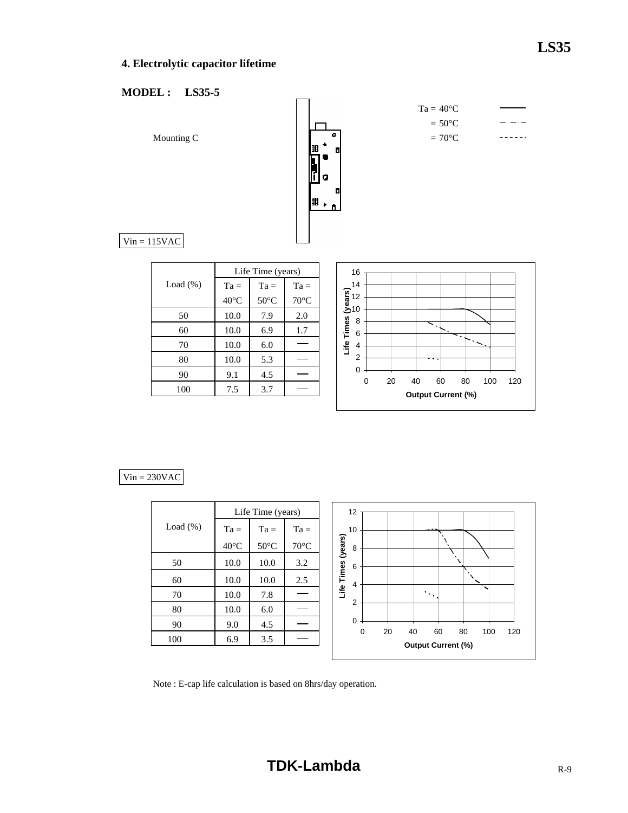## **4. Electrolytic capacitor lifetime**

## **MODEL : LS35-5**



#### $Vin = 230VAC$

|             |                | Life Time (years) |                | 12              |   |    |    |                                 |    |     |     |
|-------------|----------------|-------------------|----------------|-----------------|---|----|----|---------------------------------|----|-----|-----|
| Load $(\%)$ | $Ta =$         | $Ta =$            | $Ta =$         | 10              |   |    |    |                                 |    |     |     |
|             | $40^{\circ}$ C | $50^{\circ}$ C    | $70^{\circ}$ C | (years)<br>8    |   |    |    |                                 |    |     |     |
| 50          | 10.0           | 10.0              | 3.2            | 6               |   |    |    |                                 |    |     |     |
| 60          | 10.0           | 10.0              | 2.5            | Life Times<br>4 |   |    |    |                                 |    |     |     |
| 70          | 10.0           | 7.8               |                |                 |   |    |    | $\mathcal{F}(\mathcal{C})$      |    |     |     |
| 80          | 10.0           | 6.0               |                | $\overline{2}$  |   |    |    |                                 |    |     |     |
| 90          | 9.0            | 4.5               |                | 0               |   |    |    |                                 |    |     |     |
| 100         | 6.9            | 3.5               |                |                 | 0 | 20 | 40 | 60<br><b>Output Current (%)</b> | 80 | 100 | 120 |
|             |                |                   |                |                 |   |    |    |                                 |    |     |     |

Note : E-cap life calculation is based on 8hrs/day operation.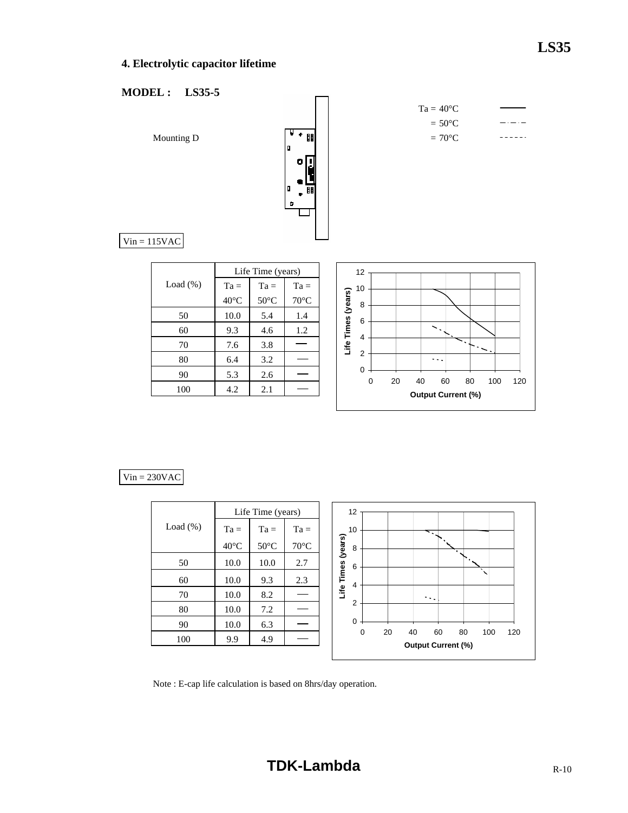## **4. Electrolytic capacitor lifetime**

## **MODEL : LS35-5**



 $Ta = 40^{\circ}C$  $= 50^{\circ}$ C  $-$ ------

 $Vin = 115VAC$ 

|             | Life Time (years) |                |                |  |  |  |  |  |  |  |
|-------------|-------------------|----------------|----------------|--|--|--|--|--|--|--|
| Load $(\%)$ | $Ta =$            | $Ta =$         | $Ta =$         |  |  |  |  |  |  |  |
|             | $40^{\circ}$ C    | $50^{\circ}$ C | $70^{\circ}$ C |  |  |  |  |  |  |  |
| 50          | 10.0              | 5.4            | 1.4            |  |  |  |  |  |  |  |
| 60          | 9.3               | 4.6            | 1.2            |  |  |  |  |  |  |  |
| 70          | 7.6               | 3.8            |                |  |  |  |  |  |  |  |
| 80          | 6.4               | 3.2            |                |  |  |  |  |  |  |  |
| 90          | 5.3               | 2.6            |                |  |  |  |  |  |  |  |
| 100         | 4.2               | 2.1            |                |  |  |  |  |  |  |  |



## $Vin = 230VAC$

|             |                | Life Time (years) |                | 12                                                                   |
|-------------|----------------|-------------------|----------------|----------------------------------------------------------------------|
| Load $(\%)$ | $Ta =$         | $Ta =$            | $Ta =$         | 10<br>∼.                                                             |
|             | $40^{\circ}$ C | $50^{\circ}$ C    | $70^{\circ}$ C | (years)<br>8<br>۰.                                                   |
| 50          | 10.0           | 10.0              | 2.7            | 6<br>$\lambda$                                                       |
| 60          | 10.0           | 9.3               | 2.3            | Life Times<br>$\overline{4}$                                         |
| 70          | 10.0           | 8.2               |                | $\sigma \sim 10$                                                     |
| 80          | 10.0           | 7.2               |                | $\overline{2}$                                                       |
| 90          | 10.0           | 6.3               |                | 0                                                                    |
| 100         | 9.9            | 4.9               |                | 0<br>20<br>40<br>60<br>80<br>100<br>120<br><b>Output Current (%)</b> |

Note : E-cap life calculation is based on 8hrs/day operation.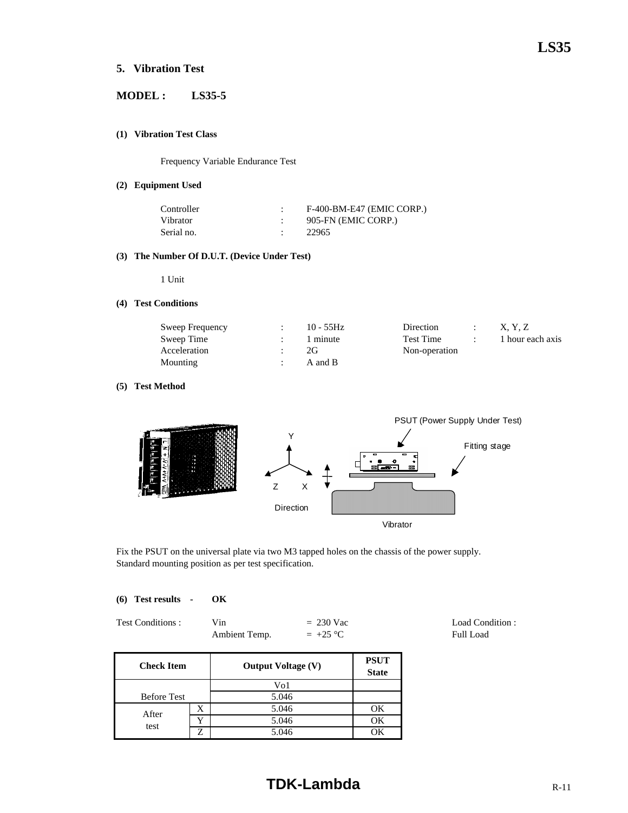## **5. Vibration Test**

## **MODEL : LS35-5**

#### **(1) Vibration Test Class**

Frequency Variable Endurance Test

#### **(2) Equipment Used**

| Controller | F-400-BM-E47 (EMIC CORP.) |
|------------|---------------------------|
| Vibrator   | 905-FN (EMIC CORP.)       |
| Serial no. | 22965                     |

#### **(3) The Number Of D.U.T. (Device Under Test)**

1 Unit

#### **(4) Test Conditions**

| Sweep Frequency | $10 - 55$ Hz | Direction     | X. Y. Z          |
|-----------------|--------------|---------------|------------------|
| Sweep Time      | 1 minute     | Test Time     | 1 hour each axis |
| Acceleration    | 2G           | Non-operation |                  |
| Mounting        | A and B      |               |                  |

#### **(5) Test Method**



Fix the PSUT on the universal plate via two M3 tapped holes on the chassis of the power supply. Standard mounting position as per test specification.

#### **(6) Test results - OK**

| <b>Test Conditions :</b> | Vin           | $= 230$ Vac |
|--------------------------|---------------|-------------|
|                          | Ambient Temp. | $= +25 °C$  |

**PSUT State** Before Test X 1 5.046 1 OK Y OK test 5.046 Z 5.046 OK **Check Item** Vo1 5.046 **Output Voltage (V)** After

# **TDK-Lambda** R-11

Load Condition : Full Load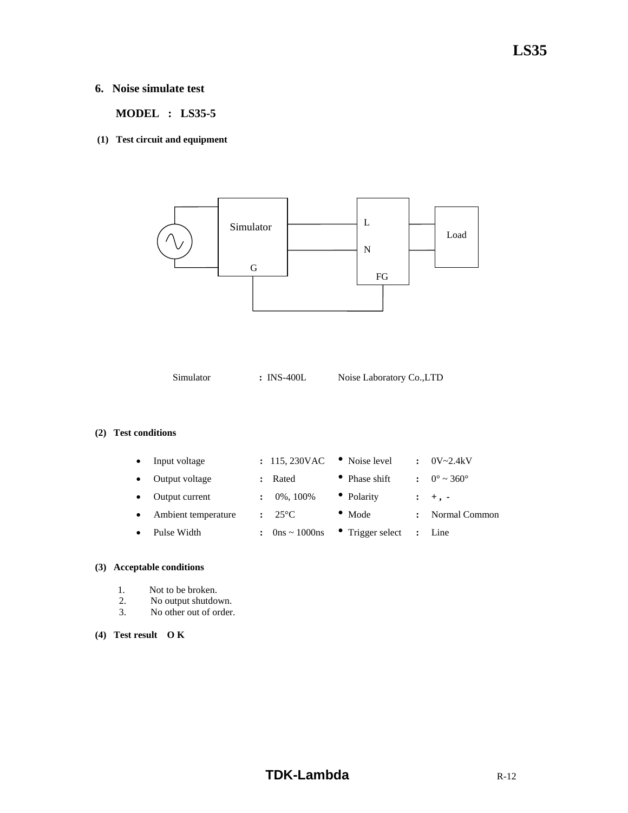## **LS35**

## **6. Noise simulate test**

 **MODEL : LS35-5** 

**(1) Test circuit and equipment** 



Simulator **:** INS-400L Noise Laboratory Co.,LTD

#### **(2) Test conditions**

|           | Input voltage       | : 115,230VAC    | • Noise level    | $\mathbf{r}$ | $0V - 2.4kV$           |
|-----------|---------------------|-----------------|------------------|--------------|------------------------|
|           | Output voltage      | Rated           | • Phase shift    |              | $\therefore$ 0° ~ 360° |
|           | Output current      | 0%, 100%        | • Polarity       |              | $: +, -$               |
| $\bullet$ | Ambient temperature | $25^{\circ}$ C  | $\bullet$ Mode   |              | Normal Common          |
|           | Pulse Width         | $0$ ns ~ 1000ns | • Trigger select |              | $\therefore$ Line      |

#### **(3) Acceptable conditions**

- 1. Not to be broken.
- 2. No output shutdown.<br>3. No other out of order
- No other out of order.

#### **(4) Test result O K**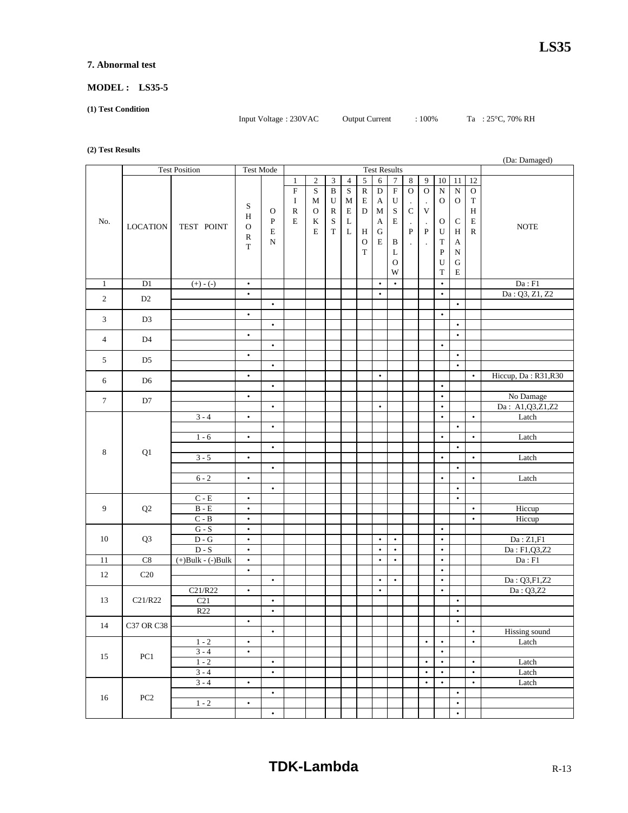#### **7. Abnormal test**

#### **MODEL : LS35-5**

**(1) Test Condition** 

Input Voltage : 230VAC Output Current : 100% Ta : 25°C, 70% RH

#### **(2) Test Results**

|                | (Da: Damaged)     |                             |                        |              |                |                |                         |                         |                |                |                     |                      |                      |                        |                       |                        |                            |
|----------------|-------------------|-----------------------------|------------------------|--------------|----------------|----------------|-------------------------|-------------------------|----------------|----------------|---------------------|----------------------|----------------------|------------------------|-----------------------|------------------------|----------------------------|
|                |                   | <b>Test Position</b>        | Test Mode              |              |                |                |                         |                         |                |                | <b>Test Results</b> |                      |                      |                        |                       |                        |                            |
|                |                   |                             |                        |              | $\mathbf{1}$   | $\overline{2}$ | 3                       | $\overline{4}$          | $\sqrt{5}$     | 6              | 7                   | $\bf 8$              | $\overline{9}$       | 10                     | $11\,$                | 12                     |                            |
|                |                   |                             |                        |              | $\overline{F}$ | S              | $\overline{\mathbf{B}}$ | $\overline{\mathbf{S}}$ | $\overline{R}$ | $\overline{D}$ | $\overline{F}$      | $\mathbf O$          | $\overline{0}$       | $\mathbf N$            | $\overline{\text{N}}$ | ${\rm O}$              |                            |
|                |                   |                             |                        |              | Ι              | M              | $\mathbf U$             | М                       | $\mathbf E$    | $\mathbf A$    | ${\bf U}$           |                      | $\cdot$              | O                      | $\mathbf O$           | $\mathbf T$            |                            |
|                |                   |                             | S<br>H                 | $\mathbf O$  | ${\bf R}$      | $\mathbf{O}$   | $\mathbb{R}$            | $\mathbf E$             | D              | M              | $\rm S$             | $\mathsf C$          | $\mathbf V$          |                        |                       | $\, {\rm H}$           |                            |
| No.            |                   |                             |                        | $\, {\bf P}$ | $\mathbf E$    | K              | $\mathbf S$             | L                       |                | $\mathbf A$    | $\mathbf E$         | $\cdot$              | $\blacksquare$       | $\mathbf O$            | $\mathbf C$           | $\mathbf E$            |                            |
|                | <b>LOCATION</b>   | TEST POINT                  | $\mathbf O$            | $\mathbf E$  |                | $\mathbf E$    | $\mathbf T$             | $\mathbf{L}$            | H              | ${\bf G}$      |                     | ${\bf P}$            | $\, {\bf P}$         | U                      | Η                     | ${\bf R}$              | <b>NOTE</b>                |
|                |                   |                             | $\mathbb{R}$           | ${\bf N}$    |                |                |                         |                         | $\mathcal{O}$  | $\mathbf E$    | B                   | $\ddot{\phantom{0}}$ | $\ddot{\phantom{a}}$ | $\mathbf T$            | A                     |                        |                            |
|                |                   |                             | $\mathbf T$            |              |                |                |                         |                         | $\mathbf T$    |                | L                   |                      |                      | $\mathbf P$            | ${\bf N}$             |                        |                            |
|                |                   |                             |                        |              |                |                |                         |                         |                |                | $\mathbf{O}$        |                      |                      | U                      | ${\bf G}$             |                        |                            |
|                |                   |                             |                        |              |                |                |                         |                         |                |                | W                   |                      |                      | $\mathbf T$            | Е                     |                        |                            |
| $\mathbf{1}$   | D1                | $(+) - (-)$                 | $\bullet$              |              |                |                |                         |                         |                | $\bullet$      | $\bullet$           |                      |                      | $\bullet$              |                       |                        | $\mathrm{Da}: \mathrm{F1}$ |
| $\sqrt{2}$     | D2                |                             | $\bullet$              |              |                |                |                         |                         |                | $\bullet$      |                     |                      |                      | $\bullet$              |                       |                        | Da: Q3, Z1, Z2             |
|                |                   |                             |                        | $\bullet$    |                |                |                         |                         |                |                |                     |                      |                      |                        | $\bullet$             |                        |                            |
| 3              | D <sub>3</sub>    |                             | $\bullet$              |              |                |                |                         |                         |                |                |                     |                      |                      | $\bullet$              |                       |                        |                            |
|                |                   |                             |                        | $\bullet$    |                |                |                         |                         |                |                |                     |                      |                      |                        | $\bullet$             |                        |                            |
| $\overline{4}$ | D <sub>4</sub>    |                             | $\bullet$              |              |                |                |                         |                         |                |                |                     |                      |                      |                        | $\bullet$             |                        |                            |
|                |                   |                             |                        | $\bullet$    |                |                |                         |                         |                |                |                     |                      |                      | $\bullet$              |                       |                        |                            |
| 5              | D <sub>5</sub>    |                             | $\bullet$              |              |                |                |                         |                         |                |                |                     |                      |                      |                        | $\bullet$             |                        |                            |
|                |                   |                             |                        | $\bullet$    |                |                |                         |                         |                |                |                     |                      |                      |                        | $\bullet$             |                        |                            |
| 6              | D <sub>6</sub>    |                             | $\bullet$              |              |                |                |                         |                         |                | $\bullet$      |                     |                      |                      |                        |                       | $\bullet$              | Hiccup, Da: R31, R30       |
|                |                   |                             |                        | $\bullet$    |                |                |                         |                         |                |                |                     |                      |                      | $\bullet$<br>$\bullet$ |                       |                        | No Damage                  |
| $\tau$         | D7                |                             | $\bullet$              | $\bullet$    |                |                |                         |                         |                | $\bullet$      |                     |                      |                      | $\bullet$              |                       |                        | Da: A1,Q3,Z1,Z2            |
|                |                   | $3 - 4$                     | $\bullet$              |              |                |                |                         |                         |                |                |                     |                      |                      | $\bullet$              |                       | $\bullet$              | Latch                      |
|                |                   |                             |                        | $\bullet$    |                |                |                         |                         |                |                |                     |                      |                      |                        | $\bullet$             |                        |                            |
|                |                   | $1 - 6$                     | $\bullet$              |              |                |                |                         |                         |                |                |                     |                      |                      | $\bullet$              |                       | $\bullet$              | Latch                      |
|                |                   |                             |                        | $\bullet$    |                |                |                         |                         |                |                |                     |                      |                      |                        | $\bullet$             |                        |                            |
| 8              | Q1                | $3 - 5$                     | $\bullet$              |              |                |                |                         |                         |                |                |                     |                      |                      | $\bullet$              |                       | $\bullet$              | Latch                      |
|                |                   |                             |                        | $\bullet$    |                |                |                         |                         |                |                |                     |                      |                      |                        | $\bullet$             |                        |                            |
|                |                   | $6 - 2$                     | $\bullet$              |              |                |                |                         |                         |                |                |                     |                      |                      | $\bullet$              |                       | $\bullet$              | Latch                      |
|                |                   |                             |                        | $\bullet$    |                |                |                         |                         |                |                |                     |                      |                      |                        | $\bullet$             |                        |                            |
|                |                   | $C - E$                     | $\bullet$              |              |                |                |                         |                         |                |                |                     |                      |                      |                        | $\bullet$             |                        |                            |
| 9              | $\mathbf{Q}2$     | $\mathbf B$ - $\mathbf E$   | $\bullet$              |              |                |                |                         |                         |                |                |                     |                      |                      |                        |                       | $\bullet$              | Hiccup                     |
|                |                   | $C - B$                     | $\bullet$              |              |                |                |                         |                         |                |                |                     |                      |                      |                        |                       | $\bullet$              | Hiccup                     |
|                |                   | $G-S$                       | $\bullet$              |              |                |                |                         |                         |                |                |                     |                      |                      | $\bullet$              |                       |                        |                            |
| 10             | Q3                | $\mathbf{D}$ - $\mathbf{G}$ | $\bullet$              |              |                |                |                         |                         |                | $\bullet$      | $\bullet$           |                      |                      | $\bullet$              |                       |                        | Da:Z1,F1                   |
|                |                   | $D-S$                       | $\bullet$              |              |                |                |                         |                         |                | $\bullet$      | $\bullet$           |                      |                      | $\bullet$              |                       |                        | Da: F1,Q3,Z2               |
| $11\,$         | C8                | $(+)$ Bulk - $(-)$ Bulk     | $\bullet$              |              |                |                |                         |                         |                | $\bullet$      | $\bullet$           |                      |                      | $\bullet$              |                       |                        | $\mathrm{Da}: \mathrm{F1}$ |
| 12             | C20               |                             | $\bullet$              |              |                |                |                         |                         |                |                |                     |                      |                      | $\bullet$              |                       |                        |                            |
|                |                   |                             |                        | $\bullet$    |                |                |                         |                         |                | $\bullet$      | $\bullet$           |                      |                      | $\bullet$              |                       |                        | Da: Q3,F1,Z2               |
|                |                   | C21/R22                     | $\bullet$              |              |                |                |                         |                         |                | $\bullet$      |                     |                      |                      | $\bullet$              |                       |                        | Da: Q3,Z2                  |
| 13             | C21/R22           | C21                         |                        | $\bullet$    |                |                |                         |                         |                |                |                     |                      |                      |                        | $\bullet$             |                        |                            |
|                |                   | R22                         |                        | $\bullet$    |                |                |                         |                         |                |                |                     |                      |                      |                        | $\bullet$             |                        |                            |
| 14             | <b>C37 OR C38</b> |                             | $\bullet$              |              |                |                |                         |                         |                |                |                     |                      |                      |                        | $\bullet$             |                        |                            |
|                |                   |                             |                        | $\bullet$    |                |                |                         |                         |                |                |                     |                      |                      |                        |                       | $\bullet$<br>$\bullet$ | Hissing sound              |
|                |                   | $1 - 2$<br>$3 - 4$          | $\bullet$<br>$\bullet$ |              |                |                |                         |                         |                |                |                     |                      | $\bullet$            | $\bullet$<br>$\bullet$ |                       |                        | Latch                      |
| 15             | PC1               | $1 - 2$                     |                        | $\bullet$    |                |                |                         |                         |                |                |                     |                      | $\bullet$            | $\bullet$              |                       | $\bullet$              | Latch                      |
|                |                   | $\overline{3} - 4$          |                        | $\bullet$    |                |                |                         |                         |                |                |                     |                      | $\bullet$            | $\bullet$              |                       | $\bullet$              | Latch                      |
|                |                   | $3 - 4$                     | $\bullet$              |              |                |                |                         |                         |                |                |                     |                      | $\bullet$            | $\bullet$              |                       | $\bullet$              | Latch                      |
|                |                   |                             |                        | $\bullet$    |                |                |                         |                         |                |                |                     |                      |                      |                        | $\bullet$             |                        |                            |
| 16             | $\rm PC2$         | $1 - 2$                     | $\bullet$              |              |                |                |                         |                         |                |                |                     |                      |                      |                        | $\bullet$             |                        |                            |
|                |                   |                             |                        | $\bullet$    |                |                |                         |                         |                |                |                     |                      |                      |                        | $\bullet$             |                        |                            |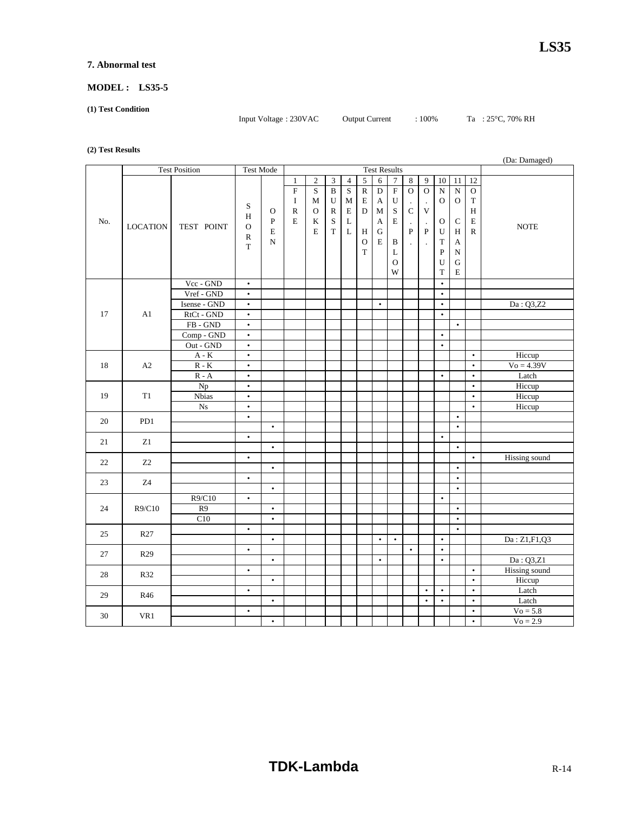#### **7. Abnormal test**

#### **MODEL : LS35-5**

**(1) Test Condition** 

Input Voltage : 230VAC Output Current : 100% Ta : 25°C, 70% RH

**(2) Test Results**

|     |                                   |                             |                                             |                     |                                                   |                        |                                |                       |                             |                                  |                                               |                                                   |                                        |                                                          |                                                                               |                                            | (Da: Damaged)        |
|-----|-----------------------------------|-----------------------------|---------------------------------------------|---------------------|---------------------------------------------------|------------------------|--------------------------------|-----------------------|-----------------------------|----------------------------------|-----------------------------------------------|---------------------------------------------------|----------------------------------------|----------------------------------------------------------|-------------------------------------------------------------------------------|--------------------------------------------|----------------------|
|     |                                   | <b>Test Position</b>        | Test Mode                                   |                     |                                                   |                        |                                |                       |                             |                                  | <b>Test Results</b>                           |                                                   |                                        |                                                          |                                                                               |                                            |                      |
|     |                                   |                             |                                             |                     | $\mathbf{1}$                                      | $\overline{c}$         | $\mathfrak{Z}$                 | $\overline{4}$        | $\overline{5}$              | $6\,$                            | $\tau$                                        | $\bf 8$                                           | 9                                      | 10                                                       | $11\,$                                                                        | 12                                         |                      |
|     |                                   |                             | S<br>H                                      | $\mathbf{O}$        | $\boldsymbol{\mathrm{F}}$<br>$\bf I$<br>${\bf R}$ | S<br>M<br>$\mathbf{O}$ | $\, {\bf B}$<br>U<br>${\bf R}$ | S<br>M<br>$\mathbf E$ | ${\bf R}$<br>${\bf E}$<br>D | $\mathbf D$<br>A<br>$\mathbf{M}$ | $\mathbf F$<br>$\ensuremath{\mathbf{U}}$<br>S | $\overline{O}$<br>$\overline{C}$                  | $\mathbf O$<br>$\epsilon$<br>$\bar{V}$ | ${\bf N}$<br>$\mathbf O$                                 | ${\bf N}$<br>${\mathcal O}$                                                   | $\mathbf O$<br>$\mathbf T$<br>$\, {\rm H}$ |                      |
| No. | <b>LOCATION</b>                   | TEST POINT                  | $\mathbf{O}$<br>$\mathbb{R}$<br>$\mathbf T$ | ${\bf P}$<br>E<br>N | $\mathbf E$                                       | K<br>E                 | $\mathbf S$<br>$\mathbf T$     | L<br>$\mathbf L$      | Η<br>$\mathbf O$<br>T       | A<br>${\bf G}$<br>E              | E<br>B<br>L<br>$\mathbf{O}$<br>W              | $\cdot$<br>$\overline{P}$<br>$\ddot{\phantom{a}}$ | $\epsilon$<br>${\bf P}$<br>$\cdot$     | $\mathbf O$<br>U<br>$\mathbf T$<br>$\mathbf P$<br>U<br>T | $\mathbf C$<br>$\, {\rm H}$<br>A<br>$\mathbf N$<br>$\mathbf G$<br>$\mathbf E$ | $\bf E$<br>$\mathbb R$                     | <b>NOTE</b>          |
|     |                                   | Vcc - GND                   | $\bullet$                                   |                     |                                                   |                        |                                |                       |                             |                                  |                                               |                                                   |                                        | $\bullet$                                                |                                                                               |                                            |                      |
|     |                                   | Vref - GND                  | $\bullet$                                   |                     |                                                   |                        |                                |                       |                             |                                  |                                               |                                                   |                                        | $\bullet$                                                |                                                                               |                                            |                      |
|     |                                   | Isense - GND                | $\bullet$                                   |                     |                                                   |                        |                                |                       |                             | $\bullet$                        |                                               |                                                   |                                        | $\bullet$                                                |                                                                               |                                            | Da: Q3,Z2            |
| 17  | A1                                | RtCt - GND                  | $\bullet$                                   |                     |                                                   |                        |                                |                       |                             |                                  |                                               |                                                   |                                        | $\bullet$                                                |                                                                               |                                            |                      |
|     |                                   | $FB - GND$                  | $\bullet$                                   |                     |                                                   |                        |                                |                       |                             |                                  |                                               |                                                   |                                        |                                                          | $\bullet$                                                                     |                                            |                      |
|     |                                   | Comp - GND                  | $\bullet$                                   |                     |                                                   |                        |                                |                       |                             |                                  |                                               |                                                   |                                        | $\bullet$                                                |                                                                               |                                            |                      |
|     |                                   | Out - GND                   | $\bullet$                                   |                     |                                                   |                        |                                |                       |                             |                                  |                                               |                                                   |                                        | $\bullet$                                                |                                                                               |                                            |                      |
|     |                                   | $A - K$                     | $\bullet$                                   |                     |                                                   |                        |                                |                       |                             |                                  |                                               |                                                   |                                        |                                                          |                                                                               | $\bullet$                                  | Hiccup               |
| 18  | A2                                | $\mathbb{R}$ - $\mathbb{K}$ | $\bullet$                                   |                     |                                                   |                        |                                |                       |                             |                                  |                                               |                                                   |                                        |                                                          |                                                                               | $\bullet$                                  | $V_0 = 4.39V$        |
|     |                                   | $R - A$                     | $\bullet$                                   |                     |                                                   |                        |                                |                       |                             |                                  |                                               |                                                   |                                        | $\bullet$                                                |                                                                               | $\bullet$                                  | Latch                |
|     |                                   | Np                          | $\bullet$                                   |                     |                                                   |                        |                                |                       |                             |                                  |                                               |                                                   |                                        |                                                          |                                                                               | $\bullet$                                  | Hiccup               |
| 19  | T1                                | <b>Nbias</b>                | $\bullet$                                   |                     |                                                   |                        |                                |                       |                             |                                  |                                               |                                                   |                                        |                                                          |                                                                               | $\bullet$                                  | Hiccup               |
|     |                                   | N <sub>S</sub>              | $\bullet$                                   |                     |                                                   |                        |                                |                       |                             |                                  |                                               |                                                   |                                        |                                                          |                                                                               | $\bullet$                                  | Hiccup               |
| 20  | PD1                               |                             | $\bullet$                                   |                     |                                                   |                        |                                |                       |                             |                                  |                                               |                                                   |                                        |                                                          | $\bullet$                                                                     |                                            |                      |
|     |                                   |                             |                                             | $\bullet$           |                                                   |                        |                                |                       |                             |                                  |                                               |                                                   |                                        |                                                          | $\bullet$                                                                     |                                            |                      |
| 21  | Z1                                |                             | $\bullet$                                   |                     |                                                   |                        |                                |                       |                             |                                  |                                               |                                                   |                                        | $\bullet$                                                |                                                                               |                                            |                      |
|     |                                   |                             |                                             | $\bullet$           |                                                   |                        |                                |                       |                             |                                  |                                               |                                                   |                                        |                                                          | $\bullet$                                                                     |                                            |                      |
| 22  | Z2                                |                             | $\bullet$                                   |                     |                                                   |                        |                                |                       |                             |                                  |                                               |                                                   |                                        |                                                          |                                                                               | $\bullet$                                  | <b>Hissing</b> sound |
|     |                                   |                             |                                             | $\bullet$           |                                                   |                        |                                |                       |                             |                                  |                                               |                                                   |                                        |                                                          | $\bullet$                                                                     |                                            |                      |
| 23  | $\ensuremath{\mathrm{Z}}\xspace4$ |                             | $\bullet$                                   |                     |                                                   |                        |                                |                       |                             |                                  |                                               |                                                   |                                        |                                                          | $\bullet$                                                                     |                                            |                      |
|     |                                   |                             |                                             | $\bullet$           |                                                   |                        |                                |                       |                             |                                  |                                               |                                                   |                                        |                                                          | $\bullet$                                                                     |                                            |                      |
|     |                                   | R9/C10                      | $\bullet$                                   |                     |                                                   |                        |                                |                       |                             |                                  |                                               |                                                   |                                        | $\bullet$                                                |                                                                               |                                            |                      |
| 24  | R9/C10                            | R <sub>9</sub>              |                                             | $\bullet$           |                                                   |                        |                                |                       |                             |                                  |                                               |                                                   |                                        |                                                          | $\bullet$                                                                     |                                            |                      |
|     |                                   | C10                         |                                             | $\bullet$           |                                                   |                        |                                |                       |                             |                                  |                                               |                                                   |                                        |                                                          | $\bullet$                                                                     |                                            |                      |
| 25  | R27                               |                             | $\bullet$                                   |                     |                                                   |                        |                                |                       |                             |                                  |                                               |                                                   |                                        |                                                          | $\bullet$                                                                     |                                            |                      |
|     |                                   |                             |                                             | $\bullet$           |                                                   |                        |                                |                       |                             | $\bullet$                        | $\bullet$                                     |                                                   |                                        | $\bullet$                                                |                                                                               |                                            | Da: Z1,F1,Q3         |
| 27  | R <sub>29</sub>                   |                             | $\bullet$                                   |                     |                                                   |                        |                                |                       |                             |                                  |                                               | $\bullet$                                         |                                        | $\bullet$                                                |                                                                               |                                            |                      |
|     |                                   |                             |                                             | $\bullet$           |                                                   |                        |                                |                       |                             | $\bullet$                        |                                               |                                                   |                                        | $\bullet$                                                |                                                                               |                                            | Da: Q3,Z1            |
| 28  | R32                               |                             | $\bullet$                                   |                     |                                                   |                        |                                |                       |                             |                                  |                                               |                                                   |                                        |                                                          |                                                                               | $\bullet$                                  | <b>Hissing</b> sound |
|     |                                   |                             |                                             | $\bullet$           |                                                   |                        |                                |                       |                             |                                  |                                               |                                                   |                                        |                                                          |                                                                               | $\bullet$                                  | Hiccup               |
| 29  | R46                               |                             | $\bullet$                                   |                     |                                                   |                        |                                |                       |                             |                                  |                                               |                                                   | $\bullet$                              | $\bullet$                                                |                                                                               | $\bullet$                                  | Latch                |
|     |                                   |                             |                                             | $\bullet$           |                                                   |                        |                                |                       |                             |                                  |                                               |                                                   | $\bullet$                              | $\bullet$                                                |                                                                               | $\bullet$                                  | Latch                |
| 30  | VR1                               |                             | $\bullet$                                   |                     |                                                   |                        |                                |                       |                             |                                  |                                               |                                                   |                                        |                                                          |                                                                               | $\bullet$                                  | $Vo = 5.8$           |
|     |                                   |                             |                                             | $\bullet$           |                                                   |                        |                                |                       |                             |                                  |                                               |                                                   |                                        |                                                          |                                                                               | $\bullet$                                  | $V_0 = 2.9$          |